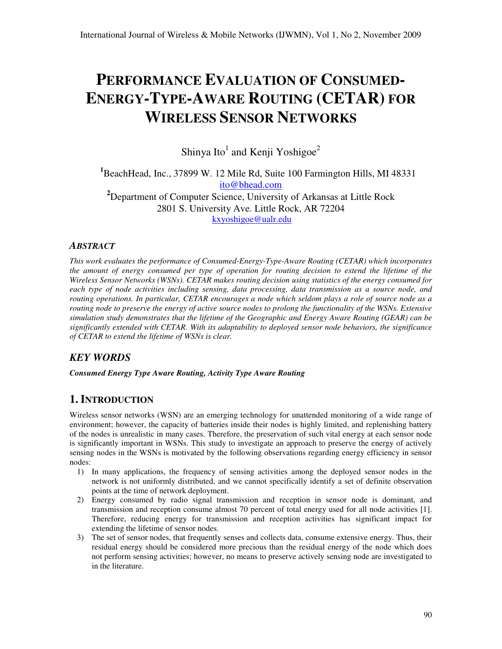# **PERFORMANCE EVALUATION OF CONSUMED-ENERGY-TYPE-AWARE ROUTING (CETAR) FOR WIRELESS SENSOR NETWORKS**

Shinya Ito $^1$  and Kenji Yoshigoe $^2$ 

**<sup>1</sup>**BeachHead, Inc., 37899 W. 12 Mile Rd, Suite 100 Farmington Hills, MI 48331 ito@bhead.com **<sup>2</sup>**Department of Computer Science, University of Arkansas at Little Rock 2801 S. University Ave. Little Rock, AR 72204 kxyoshigoe@ualr.edu

# *ABSTRACT*

*This work evaluates the performance of Consumed-Energy-Type-Aware Routing (CETAR) which incorporates the amount of energy consumed per type of operation for routing decision to extend the lifetime of the Wireless Sensor Networks (WSNs). CETAR makes routing decision using statistics of the energy consumed for each type of node activities including sensing, data processing, data transmission as a source node, and routing operations. In particular, CETAR encourages a node which seldom plays a role of source node as a routing node to preserve the energy of active source nodes to prolong the functionality of the WSNs. Extensive simulation study demonstrates that the lifetime of the Geographic and Energy Aware Routing (GEAR) can be significantly extended with CETAR. With its adaptability to deployed sensor node behaviors, the significance of CETAR to extend the lifetime of WSNs is clear.* 

# *KEY WORDS*

*Consumed Energy Type Aware Routing, Activity Type Aware Routing*

# **1. INTRODUCTION**

Wireless sensor networks (WSN) are an emerging technology for unattended monitoring of a wide range of environment; however, the capacity of batteries inside their nodes is highly limited, and replenishing battery of the nodes is unrealistic in many cases. Therefore, the preservation of such vital energy at each sensor node is significantly important in WSNs. This study to investigate an approach to preserve the energy of actively sensing nodes in the WSNs is motivated by the following observations regarding energy efficiency in sensor nodes:

- 1) In many applications, the frequency of sensing activities among the deployed sensor nodes in the network is not uniformly distributed, and we cannot specifically identify a set of definite observation points at the time of network deployment.
- 2) Energy consumed by radio signal transmission and reception in sensor node is dominant, and transmission and reception consume almost 70 percent of total energy used for all node activities [1]. Therefore, reducing energy for transmission and reception activities has significant impact for extending the lifetime of sensor nodes.
- 3) The set of sensor nodes, that frequently senses and collects data, consume extensive energy. Thus, their residual energy should be considered more precious than the residual energy of the node which does not perform sensing activities; however, no means to preserve actively sensing node are investigated to in the literature.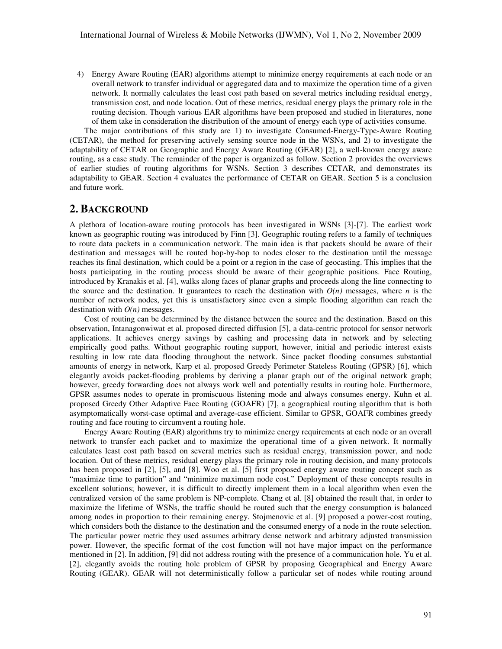4) Energy Aware Routing (EAR) algorithms attempt to minimize energy requirements at each node or an overall network to transfer individual or aggregated data and to maximize the operation time of a given network. It normally calculates the least cost path based on several metrics including residual energy, transmission cost, and node location. Out of these metrics, residual energy plays the primary role in the routing decision. Though various EAR algorithms have been proposed and studied in literatures, none of them take in consideration the distribution of the amount of energy each type of activities consume.

The major contributions of this study are 1) to investigate Consumed-Energy-Type-Aware Routing (CETAR), the method for preserving actively sensing source node in the WSNs, and 2) to investigate the adaptability of CETAR on Geographic and Energy Aware Routing (GEAR) [2], a well-known energy aware routing, as a case study. The remainder of the paper is organized as follow. Section 2 provides the overviews of earlier studies of routing algorithms for WSNs. Section 3 describes CETAR, and demonstrates its adaptability to GEAR. Section 4 evaluates the performance of CETAR on GEAR. Section 5 is a conclusion and future work.

# **2. BACKGROUND**

A plethora of location-aware routing protocols has been investigated in WSNs [3]-[7]. The earliest work known as geographic routing was introduced by Finn [3]. Geographic routing refers to a family of techniques to route data packets in a communication network. The main idea is that packets should be aware of their destination and messages will be routed hop-by-hop to nodes closer to the destination until the message reaches its final destination, which could be a point or a region in the case of geocasting. This implies that the hosts participating in the routing process should be aware of their geographic positions. Face Routing, introduced by Kranakis et al. [4], walks along faces of planar graphs and proceeds along the line connecting to the source and the destination. It guarantees to reach the destination with  $O(n)$  messages, where *n* is the number of network nodes, yet this is unsatisfactory since even a simple flooding algorithm can reach the destination with *O(n)* messages.

Cost of routing can be determined by the distance between the source and the destination. Based on this observation, Intanagonwiwat et al. proposed directed diffusion [5], a data-centric protocol for sensor network applications. It achieves energy savings by cashing and processing data in network and by selecting empirically good paths. Without geographic routing support, however, initial and periodic interest exists resulting in low rate data flooding throughout the network. Since packet flooding consumes substantial amounts of energy in network, Karp et al. proposed Greedy Perimeter Stateless Routing (GPSR) [6], which elegantly avoids packet-flooding problems by deriving a planar graph out of the original network graph; however, greedy forwarding does not always work well and potentially results in routing hole. Furthermore, GPSR assumes nodes to operate in promiscuous listening mode and always consumes energy. Kuhn et al. proposed Greedy Other Adaptive Face Routing (GOAFR) [7], a geographical routing algorithm that is both asymptomatically worst-case optimal and average-case efficient. Similar to GPSR, GOAFR combines greedy routing and face routing to circumvent a routing hole.

Energy Aware Routing (EAR) algorithms try to minimize energy requirements at each node or an overall network to transfer each packet and to maximize the operational time of a given network. It normally calculates least cost path based on several metrics such as residual energy, transmission power, and node location. Out of these metrics, residual energy plays the primary role in routing decision, and many protocols has been proposed in [2], [5], and [8]. Woo et al. [5] first proposed energy aware routing concept such as "maximize time to partition" and "minimize maximum node cost." Deployment of these concepts results in excellent solutions; however, it is difficult to directly implement them in a local algorithm when even the centralized version of the same problem is NP-complete. Chang et al. [8] obtained the result that, in order to maximize the lifetime of WSNs, the traffic should be routed such that the energy consumption is balanced among nodes in proportion to their remaining energy. Stojmenovic et al. [9] proposed a power-cost routing, which considers both the distance to the destination and the consumed energy of a node in the route selection. The particular power metric they used assumes arbitrary dense network and arbitrary adjusted transmission power. However, the specific format of the cost function will not have major impact on the performance mentioned in [2]. In addition, [9] did not address routing with the presence of a communication hole. Yu et al. [2], elegantly avoids the routing hole problem of GPSR by proposing Geographical and Energy Aware Routing (GEAR). GEAR will not deterministically follow a particular set of nodes while routing around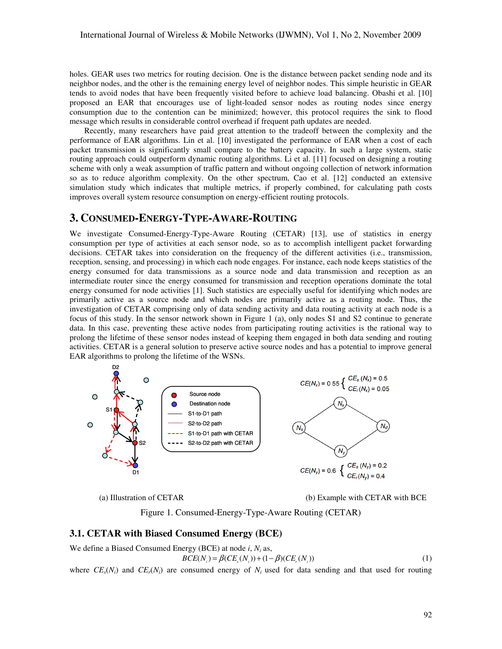holes. GEAR uses two metrics for routing decision. One is the distance between packet sending node and its neighbor nodes, and the other is the remaining energy level of neighbor nodes. This simple heuristic in GEAR tends to avoid nodes that have been frequently visited before to achieve load balancing. Obashi et al. [10] proposed an EAR that encourages use of light-loaded sensor nodes as routing nodes since energy consumption due to the contention can be minimized; however, this protocol requires the sink to flood message which results in considerable control overhead if frequent path updates are needed.

Recently, many researchers have paid great attention to the tradeoff between the complexity and the performance of EAR algorithms. Lin et al. [10] investigated the performance of EAR when a cost of each packet transmission is significantly small compare to the battery capacity. In such a large system, static routing approach could outperform dynamic routing algorithms. Li et al. [11] focused on designing a routing scheme with only a weak assumption of traffic pattern and without ongoing collection of network information so as to reduce algorithm complexity. On the other spectrum, Cao et al. [12] conducted an extensive simulation study which indicates that multiple metrics, if properly combined, for calculating path costs improves overall system resource consumption on energy-efficient routing protocols.

## **3. CONSUMED-ENERGY-TYPE-AWARE-ROUTING**

We investigate Consumed-Energy-Type-Aware Routing (CETAR) [13], use of statistics in energy consumption per type of activities at each sensor node, so as to accomplish intelligent packet forwarding decisions. CETAR takes into consideration on the frequency of the different activities (i.e., transmission, reception, sensing, and processing) in which each node engages. For instance, each node keeps statistics of the energy consumed for data transmissions as a source node and data transmission and reception as an intermediate router since the energy consumed for transmission and reception operations dominate the total energy consumed for node activities [1]. Such statistics are especially useful for identifying which nodes are primarily active as a source node and which nodes are primarily active as a routing node. Thus, the investigation of CETAR comprising only of data sending activity and data routing activity at each node is a focus of this study. In the sensor network shown in Figure 1 (a), only nodes S1 and S2 continue to generate data. In this case, preventing these active nodes from participating routing activities is the rational way to prolong the lifetime of these sensor nodes instead of keeping them engaged in both data sending and routing activities. CETAR is a general solution to preserve active source nodes and has a potential to improve general EAR algorithms to prolong the lifetime of the WSNs.



(a) Illustration of CETAR (b) Example with CETAR with BCE

Figure 1. Consumed-Energy-Type-Aware Routing (CETAR)

#### **3.1. CETAR with Biased Consumed Energy (BCE)**

We define a Biased Consumed Energy (BCE) at node *i*, *N<sup>i</sup>* as,  $BCE(N_i) = \beta (CE_i(N_i)) + (1 - \beta)(CE_i(N_i))$ (1)

where  $CE_s(N_i)$  and  $CE_r(N_i)$  are consumed energy of  $N_i$  used for data sending and that used for routing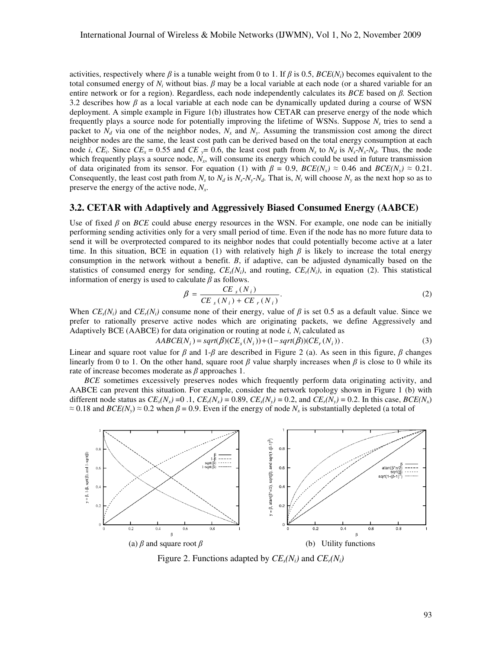activities, respectively where  $\beta$  is a tunable weight from 0 to 1. If  $\beta$  is 0.5, *BCE(N<sub>i</sub>*) becomes equivalent to the total consumed energy of  $N_i$  without bias.  $\beta$  may be a local variable at each node (or a shared variable for an entire network or for a region). Regardless, each node independently calculates its *BCE* based on β*.* Section 3.2 describes how  $\beta$  as a local variable at each node can be dynamically updated during a course of WSN deployment. A simple example in Figure 1(b) illustrates how CETAR can preserve energy of the node which frequently plays a source node for potentially improving the lifetime of WSNs. Suppose *N<sup>s</sup>* tries to send a packet to  $N_d$  via one of the neighbor nodes,  $N_x$  and  $N_y$ . Assuming the transmission cost among the direct neighbor nodes are the same, the least cost path can be derived based on the total energy consumption at each node *i*,  $CE_i$ . Since  $CE_x = 0.55$  and  $CE_y = 0.6$ , the least cost path from  $N_s$  to  $N_d$  is  $N_s - N_x - N_d$ . Thus, the node which frequently plays a source node,  $N_x$ , will consume its energy which could be used in future transmission of data originated from its sensor. For equation (1) with  $\beta = 0.9$ ,  $BCE(N_x) \approx 0.46$  and  $BCE(N_y) \approx 0.21$ . Consequently, the least cost path from  $N_s$  to  $N_d$  is  $N_s$ - $N_y$ - $N_d$ . That is,  $N_i$  will choose  $N_y$  as the next hop so as to preserve the energy of the active node, *N<sup>x</sup>* .

### **3.2. CETAR with Adaptively and Aggressively Biased Consumed Energy (AABCE)**

Use of fixed β on *BCE* could abuse energy resources in the WSN. For example, one node can be initially performing sending activities only for a very small period of time. Even if the node has no more future data to send it will be overprotected compared to its neighbor nodes that could potentially become active at a later time. In this situation, BCE in equation (1) with relatively high  $\beta$  is likely to increase the total energy consumption in the network without a benefit. Β, if adaptive, can be adjusted dynamically based on the statistics of consumed energy for sending,  $CE<sub>s</sub>(N<sub>i</sub>)$ , and routing,  $CE<sub>i</sub>(N<sub>i</sub>)$ , in equation (2). This statistical information of energy is used to calculate  $\beta$  as follows.

$$
\beta = \frac{CE_{s}(N_{i})}{CE_{s}(N_{i}) + CE_{r}(N_{i})}.
$$
\n(2)

When  $CE_s(N_i)$  and  $CE_t(N_i)$  consume none of their energy, value of  $\beta$  is set 0.5 as a default value. Since we prefer to rationally preserve active nodes which are originating packets, we define Aggressively and Adaptively BCE (AABCE) for data origination or routing at node *i, N<sup>i</sup>* calculated as

$$
AABCE(Ni) = sqrt(\beta)(CEs(Ni)) + (1 - sqrt(\beta))(CEr(Ni)).
$$
\n(3)

Linear and square root value for  $\beta$  and 1- $\beta$  are described in Figure 2 (a). As seen in this figure,  $\beta$  changes linearly from 0 to 1. On the other hand, square root  $\beta$  value sharply increases when  $\beta$  is close to 0 while its rate of increase becomes moderate as  $\beta$  approaches 1.

*BCE* sometimes excessively preserves nodes which frequently perform data originating activity, and AABCE can prevent this situation. For example, consider the network topology shown in Figure 1 (b) with different node status as  $CE_s(N_x) = 0.1$ ,  $CE_r(N_x) = 0.89$ ,  $CE_s(N_y) = 0.2$ , and  $CE_r(N_y) = 0.2$ . In this case,  $BCE(N_x)$  $\approx 0.18$  and  $BCE(N_y) \approx 0.2$  when  $\beta = 0.9$ . Even if the energy of node  $N_x$  is substantially depleted (a total of



Figure 2. Functions adapted by  $CE_s(N_i)$  and  $CE_r(N_i)$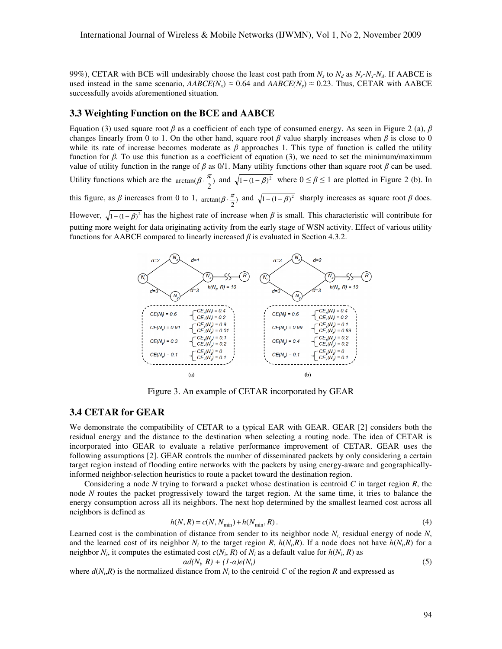99%), CETAR with BCE will undesirably choose the least cost path from  $N_s$  to  $N_d$  as  $N_s$ - $N_s$ - $N_d$ . If AABCE is used instead in the same scenario,  $AABCE(N_x) \approx 0.64$  and  $AABCE(N_y) \approx 0.23$ . Thus, CETAR with AABCE successfully avoids aforementioned situation.

#### **3.3 Weighting Function on the BCE and AABCE**

Equation (3) used square root β as a coefficient of each type of consumed energy. As seen in Figure 2 (a), β changes linearly from 0 to 1. On the other hand, square root  $\beta$  value sharply increases when  $\beta$  is close to 0 while its rate of increase becomes moderate as  $\beta$  approaches 1. This type of function is called the utility function for β*.* To use this function as a coefficient of equation (3), we need to set the minimum/maximum value of utility function in the range of  $\beta$  as 0/1. Many utility functions other than square root  $\beta$  can be used. Utility functions which are the  $arctan(\beta \cdot \frac{\pi}{2})$  and  $\sqrt{1-(1-\beta)^2}$  where  $0 \le \beta \le 1$  are plotted in Figure 2 (b). In 2 this figure, as  $\beta$  increases from 0 to 1,  $arctan(\beta \cdot \frac{\pi}{2})$  and  $\sqrt{1-(1-\beta)^2}$  sharply increases as square root  $\beta$  does. However,  $\sqrt{1-(1-\beta)^2}$  has the highest rate of increase when  $\beta$  is small. This characteristic will contribute for putting more weight for data originating activity from the early stage of WSN activity. Effect of various utility functions for AABCE compared to linearly increased  $\beta$  is evaluated in Section 4.3.2.



Figure 3. An example of CETAR incorporated by GEAR

## **3.4 CETAR for GEAR**

We demonstrate the compatibility of CETAR to a typical EAR with GEAR. GEAR [2] considers both the residual energy and the distance to the destination when selecting a routing node. The idea of CETAR is incorporated into GEAR to evaluate a relative performance improvement of CETAR. GEAR uses the following assumptions [2]. GEAR controls the number of disseminated packets by only considering a certain target region instead of flooding entire networks with the packets by using energy-aware and geographicallyinformed neighbor-selection heuristics to route a packet toward the destination region.

Considering a node *N* trying to forward a packet whose destination is centroid *C* in target region *R*, the node *N* routes the packet progressively toward the target region. At the same time, it tries to balance the energy consumption across all its neighbors. The next hop determined by the smallest learned cost across all neighbors is defined as

$$
h(N, R) = c(N, N_{\min}) + h(N_{\min}, R). \tag{4}
$$

Learned cost is the combination of distance from sender to its neighbor node  $N_i$ , residual energy of node  $N$ , and the learned cost of its neighbor  $N_i$  to the target region  $R$ ,  $h(N_i,R)$ . If a node does not have  $h(N_i,R)$  for a neighbor  $N_i$ , it computes the estimated cost  $c(N_i, R)$  of  $N_i$  as a default value for  $h(N_i, R)$  as  $\alpha d(N_i, R) + (1 - \alpha)e(N_i)$  (5)

where  $d(N_i, R)$  is the normalized distance from  $N_i$  to the centroid C of the region R and expressed as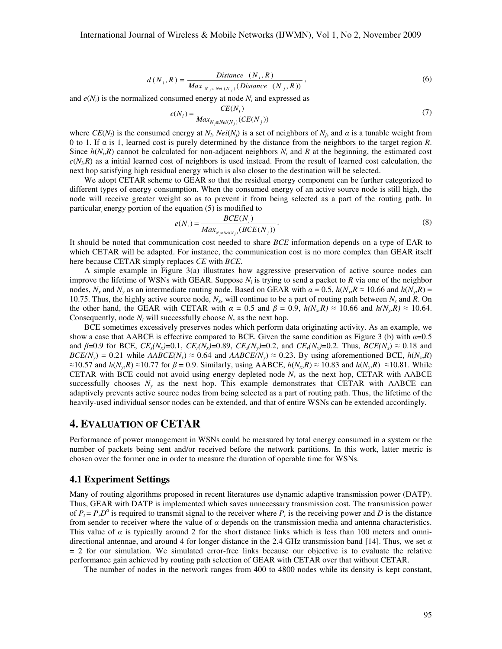$$
d(N_i, R) = \frac{Distance(N_i, R)}{Max_{N_i \in Nei(N_i)}(Distance(N_j, R))},
$$
\n
$$
(6)
$$

and  $e(N_i)$  is the normalized consumed energy at node  $N_i$  and expressed as

$$
e(N_i) = \frac{CE(N_i)}{Max_{N_j \in Nei(N_j)}(CE(N_j))}
$$
(7)

where  $CE(N_i)$  is the consumed energy at  $N_i$ ,  $Nei(N_j)$  is a set of neighbors of  $N_j$ , and  $\alpha$  is a tunable weight from 0 to 1. If α is 1, learned cost is purely determined by the distance from the neighbors to the target region *R*. Since  $h(N_i, R)$  cannot be calculated for non-adjacent neighbors  $N_i$  and  $R$  at the beginning, the estimated cost  $c(N_i,R)$  as a initial learned cost of neighbors is used instead. From the result of learned cost calculation, the next hop satisfying high residual energy which is also closer to the destination will be selected.

We adopt CETAR scheme to GEAR so that the residual energy component can be further categorized to different types of energy consumption. When the consumed energy of an active source node is still high, the node will receive greater weight so as to prevent it from being selected as a part of the routing path. In particular energy portion of the equation (5) is modified to

$$
e(N_i) = \frac{BCE(N_i)}{Max_{N_j \in Nei(N_j)}(BCE(N_j))}.
$$
\n(8)

It should be noted that communication cost needed to share *BCE* information depends on a type of EAR to which CETAR will be adapted. For instance, the communication cost is no more complex than GEAR itself here because CETAR simply replaces *CE* with *BCE*.

A simple example in Figure 3(a) illustrates how aggressive preservation of active source nodes can improve the lifetime of WSNs with GEAR. Suppose  $N_i$  is trying to send a packet to  $R$  via one of the neighbor nodes,  $N_x$  and  $N_y$  as an intermediate routing node. Based on GEAR with  $\alpha = 0.5$ ,  $h(N_x, R \approx 10.66$  and  $h(N_y, R) =$ 10.75. Thus, the highly active source node,  $N_x$ , will continue to be a part of routing path between  $N_s$  and  $R$ . On the other hand, the GEAR with CETAR with  $\alpha = 0.5$  and  $\beta = 0.9$ ,  $h(N_{y}R) \approx 10.66$  and  $h(N_{y}R) \approx 10.64$ . Consequently, node  $N_i$  will successfully choose  $N_y$  as the next hop.

BCE sometimes excessively preserves nodes which perform data originating activity. As an example, we show a case that AABCE is effective compared to BCE. Given the same condition as Figure 3 (b) with  $\alpha$ =0.5 and  $\beta=0.9$  for BCE,  $CE_s(N_x)=0.1$ ,  $CE_t(N_x)=0.89$ ,  $CE_s(N_y)=0.2$ , and  $CE_t(N_y)=0.2$ . Thus,  $BCE(N_x) \approx 0.18$  and  $BCE(N_y) = 0.21$  while  $AABCE(N_x) \approx 0.64$  and  $AABCE(N_y) \approx 0.23$ . By using aforementioned BCE,  $h(N_x, R)$  $\approx$ 10.57 and *h*(*N*<sub>y</sub>,*R*)  $\approx$ 10.77 for  $\beta$  = 0.9. Similarly, using AABCE, *h*(*N*<sub>x</sub>,*R*)  $\approx$  10.83 and *h*(*N*<sub>y</sub>,*R*)  $\approx$  10.81. While CETAR with BCE could not avoid using energy depleted node  $N<sub>x</sub>$  as the next hop, CETAR with AABCE successfully chooses  $N_y$  as the next hop. This example demonstrates that CETAR with AABCE can adaptively prevents active source nodes from being selected as a part of routing path. Thus, the lifetime of the heavily-used individual sensor nodes can be extended, and that of entire WSNs can be extended accordingly.

## **4. EVALUATION OF CETAR**

Performance of power management in WSNs could be measured by total energy consumed in a system or the number of packets being sent and/or received before the network partitions. In this work, latter metric is chosen over the former one in order to measure the duration of operable time for WSNs.

#### **4.1 Experiment Settings**

Many of routing algorithms proposed in recent literatures use dynamic adaptive transmission power (DATP). Thus, GEAR with DATP is implemented which saves unnecessary transmission cost. The transmission power of  $P_t = P_t D^{\alpha}$  is required to transmit signal to the receiver where  $P_t$  is the receiving power and *D* is the distance from sender to receiver where the value of  $\alpha$  depends on the transmission media and antenna characteristics. This value of  $\alpha$  is typically around 2 for the short distance links which is less than 100 meters and omnidirectional antennae, and around 4 for longer distance in the 2.4 GHz transmission band [14]. Thus, we set  $\alpha$  $= 2$  for our simulation. We simulated error-free links because our objective is to evaluate the relative performance gain achieved by routing path selection of GEAR with CETAR over that without CETAR.

The number of nodes in the network ranges from 400 to 4800 nodes while its density is kept constant,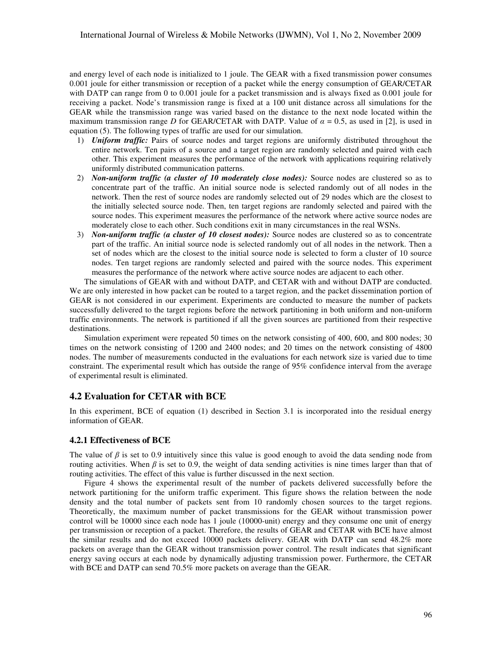and energy level of each node is initialized to 1 joule. The GEAR with a fixed transmission power consumes 0.001 joule for either transmission or reception of a packet while the energy consumption of GEAR/CETAR with DATP can range from 0 to 0.001 joule for a packet transmission and is always fixed as 0.001 joule for receiving a packet. Node's transmission range is fixed at a 100 unit distance across all simulations for the GEAR while the transmission range was varied based on the distance to the next node located within the maximum transmission range *D* for GEAR/CETAR with DATP. Value of  $\alpha = 0.5$ , as used in [2], is used in equation (5). The following types of traffic are used for our simulation.

- 1) *Uniform traffic:* Pairs of source nodes and target regions are uniformly distributed throughout the entire network. Ten pairs of a source and a target region are randomly selected and paired with each other. This experiment measures the performance of the network with applications requiring relatively uniformly distributed communication patterns.
- 2) *Non-uniform traffic (a cluster of 10 moderately close nodes):* Source nodes are clustered so as to concentrate part of the traffic. An initial source node is selected randomly out of all nodes in the network. Then the rest of source nodes are randomly selected out of 29 nodes which are the closest to the initially selected source node. Then, ten target regions are randomly selected and paired with the source nodes. This experiment measures the performance of the network where active source nodes are moderately close to each other. Such conditions exit in many circumstances in the real WSNs.
- 3) *Non-uniform traffic (a cluster of 10 closest nodes):* Source nodes are clustered so as to concentrate part of the traffic. An initial source node is selected randomly out of all nodes in the network. Then a set of nodes which are the closest to the initial source node is selected to form a cluster of 10 source nodes. Ten target regions are randomly selected and paired with the source nodes. This experiment measures the performance of the network where active source nodes are adjacent to each other.

The simulations of GEAR with and without DATP, and CETAR with and without DATP are conducted. We are only interested in how packet can be routed to a target region, and the packet dissemination portion of GEAR is not considered in our experiment. Experiments are conducted to measure the number of packets successfully delivered to the target regions before the network partitioning in both uniform and non-uniform traffic environments. The network is partitioned if all the given sources are partitioned from their respective destinations.

Simulation experiment were repeated 50 times on the network consisting of 400, 600, and 800 nodes; 30 times on the network consisting of 1200 and 2400 nodes; and 20 times on the network consisting of 4800 nodes. The number of measurements conducted in the evaluations for each network size is varied due to time constraint. The experimental result which has outside the range of 95% confidence interval from the average of experimental result is eliminated.

#### **4.2 Evaluation for CETAR with BCE**

In this experiment, BCE of equation (1) described in Section 3.1 is incorporated into the residual energy information of GEAR.

#### **4.2.1 Effectiveness of BCE**

The value of  $\beta$  is set to 0.9 intuitively since this value is good enough to avoid the data sending node from routing activities. When  $\beta$  is set to 0.9, the weight of data sending activities is nine times larger than that of routing activities. The effect of this value is further discussed in the next section.

Figure 4 shows the experimental result of the number of packets delivered successfully before the network partitioning for the uniform traffic experiment. This figure shows the relation between the node density and the total number of packets sent from 10 randomly chosen sources to the target regions. Theoretically, the maximum number of packet transmissions for the GEAR without transmission power control will be 10000 since each node has 1 joule (10000-unit) energy and they consume one unit of energy per transmission or reception of a packet. Therefore, the results of GEAR and CETAR with BCE have almost the similar results and do not exceed 10000 packets delivery. GEAR with DATP can send 48.2% more packets on average than the GEAR without transmission power control. The result indicates that significant energy saving occurs at each node by dynamically adjusting transmission power. Furthermore, the CETAR with BCE and DATP can send 70.5% more packets on average than the GEAR.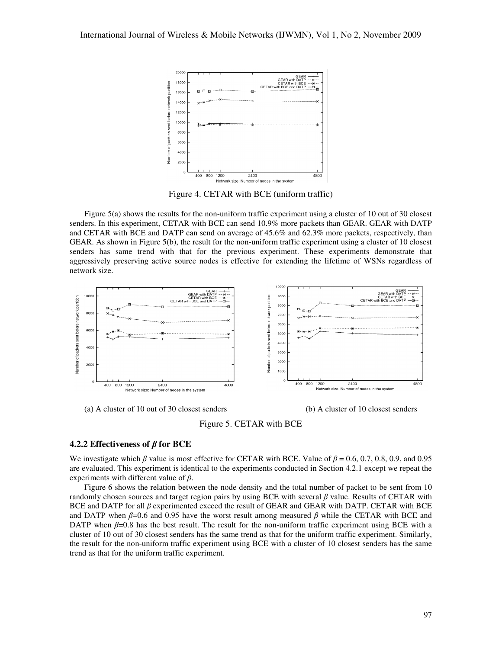

Figure 4. CETAR with BCE (uniform traffic)

Figure 5(a) shows the results for the non-uniform traffic experiment using a cluster of 10 out of 30 closest senders. In this experiment, CETAR with BCE can send 10.9% more packets than GEAR. GEAR with DATP and CETAR with BCE and DATP can send on average of 45.6% and 62.3% more packets, respectively, than GEAR. As shown in Figure 5(b), the result for the non-uniform traffic experiment using a cluster of 10 closest senders has same trend with that for the previous experiment. These experiments demonstrate that aggressively preserving active source nodes is effective for extending the lifetime of WSNs regardless of network size.



(a) A cluster of 10 out of 30 closest senders (b) A cluster of 10 closest senders



Figure 5. CETAR with BCE

#### **4.2.2 Effectiveness of** β **for BCE**

We investigate which  $\beta$  value is most effective for CETAR with BCE. Value of  $\beta = 0.6, 0.7, 0.8, 0.9,$  and 0.95 are evaluated. This experiment is identical to the experiments conducted in Section 4.2.1 except we repeat the experiments with different value of  $\beta$ .

Figure 6 shows the relation between the node density and the total number of packet to be sent from 10 randomly chosen sources and target region pairs by using BCE with several  $\beta$  value. Results of CETAR with BCE and DATP for all β experimented exceed the result of GEAR and GEAR with DATP. CETAR with BCE and DATP when  $\beta$ =0.6 and 0.95 have the worst result among measured  $\beta$  while the CETAR with BCE and DATP when  $\beta$ =0.8 has the best result. The result for the non-uniform traffic experiment using BCE with a cluster of 10 out of 30 closest senders has the same trend as that for the uniform traffic experiment. Similarly, the result for the non-uniform traffic experiment using BCE with a cluster of 10 closest senders has the same trend as that for the uniform traffic experiment.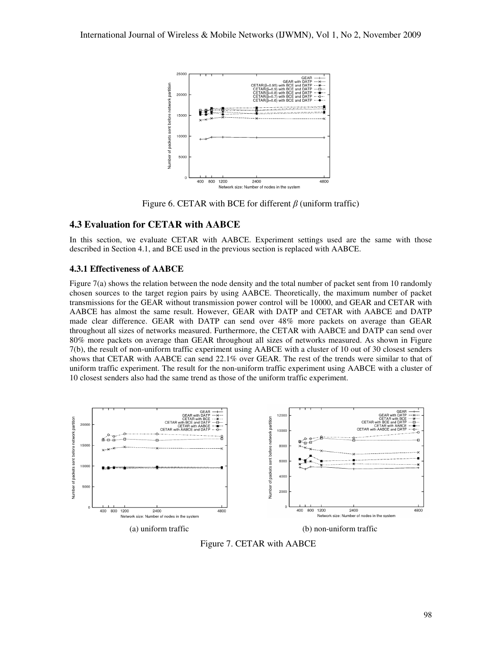

Figure 6. CETAR with BCE for different  $\beta$  (uniform traffic)

## **4.3 Evaluation for CETAR with AABCE**

In this section, we evaluate CETAR with AABCE. Experiment settings used are the same with those described in Section 4.1, and BCE used in the previous section is replaced with AABCE.

### **4.3.1 Effectiveness of AABCE**

Figure 7(a) shows the relation between the node density and the total number of packet sent from 10 randomly chosen sources to the target region pairs by using AABCE. Theoretically, the maximum number of packet transmissions for the GEAR without transmission power control will be 10000, and GEAR and CETAR with AABCE has almost the same result. However, GEAR with DATP and CETAR with AABCE and DATP made clear difference. GEAR with DATP can send over 48% more packets on average than GEAR throughout all sizes of networks measured. Furthermore, the CETAR with AABCE and DATP can send over 80% more packets on average than GEAR throughout all sizes of networks measured. As shown in Figure 7(b), the result of non-uniform traffic experiment using AABCE with a cluster of 10 out of 30 closest senders shows that CETAR with AABCE can send 22.1% over GEAR. The rest of the trends were similar to that of uniform traffic experiment. The result for the non-uniform traffic experiment using AABCE with a cluster of 10 closest senders also had the same trend as those of the uniform traffic experiment.



Figure 7. CETAR with AABCE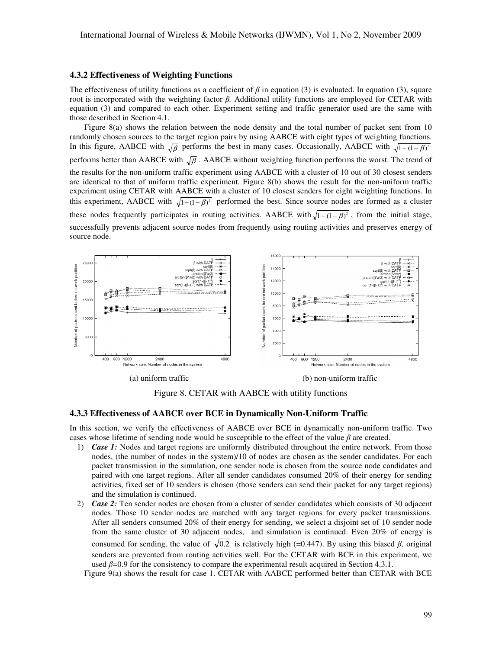#### **4.3.2 Effectiveness of Weighting Functions**

The effectiveness of utility functions as a coefficient of  $\beta$  in equation (3) is evaluated. In equation (3), square root is incorporated with the weighting factor β*.* Additional utility functions are employed for CETAR with equation (3) and compared to each other. Experiment setting and traffic generator used are the same with those described in Section 4.1.

Figure 8(a) shows the relation between the node density and the total number of packet sent from 10 randomly chosen sources to the target region pairs by using AABCE with eight types of weighting functions. In this figure, AABCE with  $\sqrt{\beta}$  performs the best in many cases. Occasionally, AABCE with  $\sqrt{1-(1-\beta)^2}$ performs better than AABCE with  $\sqrt{\beta}$ . AABCE without weighting function performs the worst. The trend of the results for the non-uniform traffic experiment using AABCE with a cluster of 10 out of 30 closest senders are identical to that of uniform traffic experiment. Figure 8(b) shows the result for the non-uniform traffic experiment using CETAR with AABCE with a cluster of 10 closest senders for eight weighting functions. In this experiment, AABCE with  $\sqrt{1-(1-\beta)^2}$  performed the best. Since source nodes are formed as a cluster these nodes frequently participates in routing activities. AABCE with  $\sqrt{1-(1-\beta)^2}$ , from the initial stage, successfully prevents adjacent source nodes from frequently using routing activities and preserves energy of source node.



Figure 8. CETAR with AABCE with utility functions

#### **4.3.3 Effectiveness of AABCE over BCE in Dynamically Non-Uniform Traffic**

In this section, we verify the effectiveness of AABCE over BCE in dynamically non-uniform traffic. Two cases whose lifetime of sending node would be susceptible to the effect of the value  $\beta$  are created.

- 1) *Case 1:* Nodes and target regions are uniformly distributed throughout the entire network. From those nodes, (the number of nodes in the system)/10 of nodes are chosen as the sender candidates. For each packet transmission in the simulation, one sender node is chosen from the source node candidates and paired with one target regions. After all sender candidates consumed 20% of their energy for sending activities, fixed set of 10 senders is chosen (those senders can send their packet for any target regions) and the simulation is continued.
- 2) *Case 2:* Ten sender nodes are chosen from a cluster of sender candidates which consists of 30 adjacent nodes. Those 10 sender nodes are matched with any target regions for every packet transmissions. After all senders consumed 20% of their energy for sending, we select a disjoint set of 10 sender node from the same cluster of 30 adjacent nodes, and simulation is continued. Even 20% of energy is consumed for sending, the value of  $\sqrt{0.2}$  is relatively high (=0.447). By using this biased  $\beta$ , original senders are prevented from routing activities well. For the CETAR with BCE in this experiment, we used  $\beta$ =0.9 for the consistency to compare the experimental result acquired in Section 4.3.1.

Figure 9(a) shows the result for case 1. CETAR with AABCE performed better than CETAR with BCE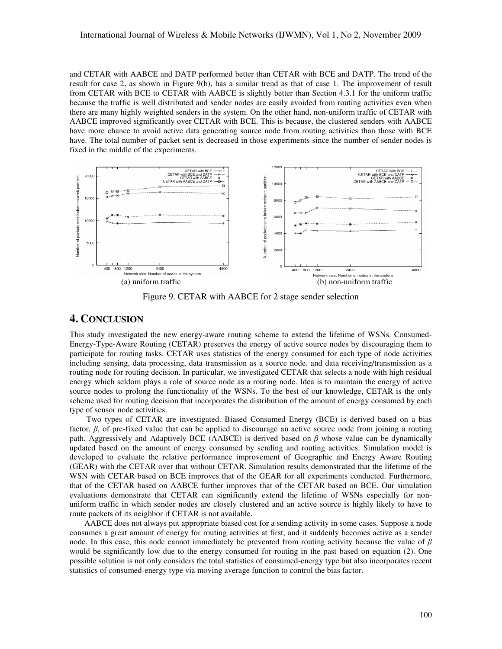and CETAR with AABCE and DATP performed better than CETAR with BCE and DATP. The trend of the result for case 2, as shown in Figure 9(b), has a similar trend as that of case 1. The improvement of result from CETAR with BCE to CETAR with AABCE is slightly better than Section 4.3.1 for the uniform traffic because the traffic is well distributed and sender nodes are easily avoided from routing activities even when there are many highly weighted senders in the system. On the other hand, non-uniform traffic of CETAR with AABCE improved significantly over CETAR with BCE. This is because, the clustered senders with AABCE have more chance to avoid active data generating source node from routing activities than those with BCE have. The total number of packet sent is decreased in those experiments since the number of sender nodes is fixed in the middle of the experiments.



Figure 9. CETAR with AABCE for 2 stage sender selection

## **4. CONCLUSION**

This study investigated the new energy-aware routing scheme to extend the lifetime of WSNs. Consumed-Energy-Type-Aware Routing (CETAR) preserves the energy of active source nodes by discouraging them to participate for routing tasks. CETAR uses statistics of the energy consumed for each type of node activities including sensing, data processing, data transmission as a source node, and data receiving/transmission as a routing node for routing decision. In particular, we investigated CETAR that selects a node with high residual energy which seldom plays a role of source node as a routing node. Idea is to maintain the energy of active source nodes to prolong the functionality of the WSNs. To the best of our knowledge, CETAR is the only scheme used for routing decision that incorporates the distribution of the amount of energy consumed by each type of sensor node activities.

Two types of CETAR are investigated. Biased Consumed Energy (BCE) is derived based on a bias factor,  $\beta$ , of pre-fixed value that can be applied to discourage an active source node from joining a routing path. Aggressively and Adaptively BCE (AABCE) is derived based on  $\beta$  whose value can be dynamically updated based on the amount of energy consumed by sending and routing activities. Simulation model is developed to evaluate the relative performance improvement of Geographic and Energy Aware Routing (GEAR) with the CETAR over that without CETAR. Simulation results demonstrated that the lifetime of the WSN with CETAR based on BCE improves that of the GEAR for all experiments conducted. Furthermore, that of the CETAR based on AABCE further improves that of the CETAR based on BCE. Our simulation evaluations demonstrate that CETAR can significantly extend the lifetime of WSNs especially for nonuniform traffic in which sender nodes are closely clustered and an active source is highly likely to have to route packets of its neighbor if CETAR is not available.

AABCE does not always put appropriate biased cost for a sending activity in some cases. Suppose a node consumes a great amount of energy for routing activities at first, and it suddenly becomes active as a sender node. In this case, this node cannot immediately be prevented from routing activity because the value of  $\beta$ would be significantly low due to the energy consumed for routing in the past based on equation (2). One possible solution is not only considers the total statistics of consumed-energy type but also incorporates recent statistics of consumed-energy type via moving average function to control the bias factor.